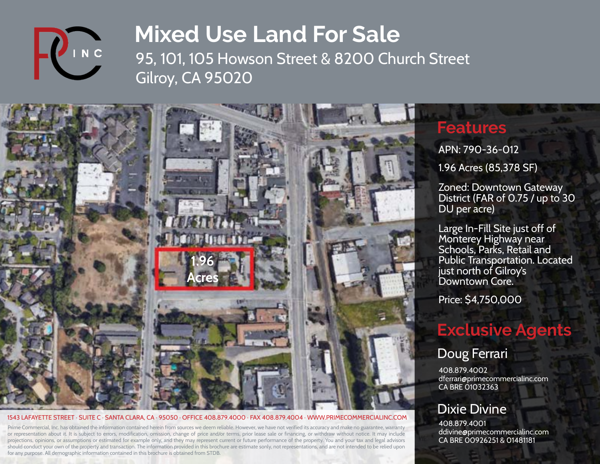

95, 101, 105 Howson Street & 8200 Church Street Gilroy, CA 95020



#### 1543 LAFAYETTE STREET · SUITE C · SANTA CLARA, CA · 95050 · OFFICE 408.879.4000 · FAX 408.879.4004 · WWW.PRIMECOMMERCIALINC.COM

Prime Commercial, Inc. has obtained the information contained herein from sources we deem reliable. However, we have not verified its accuracy and make no guarantee, warranty or representation about it. It is subject to errors, modification, omission, change of price and/or terms, prior lease sale or financing, or withdraw without notice. It may include projections, opinions, or assumptions or estimated for example only, and they may represent current or future performance of the property. You and your tax and legal advisors should conduct your own of the property and transaction. The information provided in this brochure are estimate sonly, not representations, and are not intended to be relied upon for any purpose. All demographic information contained in this brochure is obtained from STDB.

### **Features**

APN: 790-36-012

1.96 Acres (85,378 SF)

Zoned: Downtown Gateway District (FAR of 0.75 / up to 30 DU per acre)

Large In-Fill Site just off of Monterey Highway near Schools, Parks, Retail and Public Transportation. Located just north of Gilroy's Downtown Core.

Price: \$4,750,000

## **Exclusive Agents**

#### Doug Ferrari

408.879.4002 dferrari@primecommercialinc.com CA BRE 01032363

#### Dixie Divine

408.879.4001 ddivine@primecommercialinc.com CA BRE 00926251 & 01481181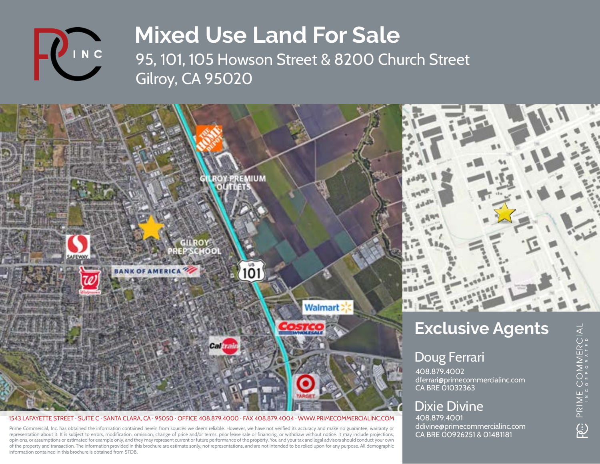

95, 101, 105 Howson Street & 8200 Church Street Gilroy, CA 95020



1543 LAFAYETTE STREET · SUITE C · SANTA CLARA, CA · 95050 · OFFICE 408.879.4000 · FAX 408.879.4004 · WWW.PRIMECOMMERCIALINC.COM

Prime Commercial, Inc. has obtained the information contained herein from sources we deem reliable. However, we have not verified its accuracy and make no guarantee, warranty or representation about it. It is subject to errors, modification, omission, change of price and/or terms, prior lease sale or financing, or withdraw without notice. It may include projections, opinions, or assumptions or estimated for example only, and they may represent current or future performance of the property. You and your tax and legal advisors should conduct your own of the property and transaction. The information provided in this brochure are estimate sonly, not representations, and are not intended to be relied upon for any purpose. All demographic information contained in this brochure is obtained from STDB.

### Dixie Divine

408.879.4001 ddivine@primecommercialinc.com CA BRE 00926251 & 01481181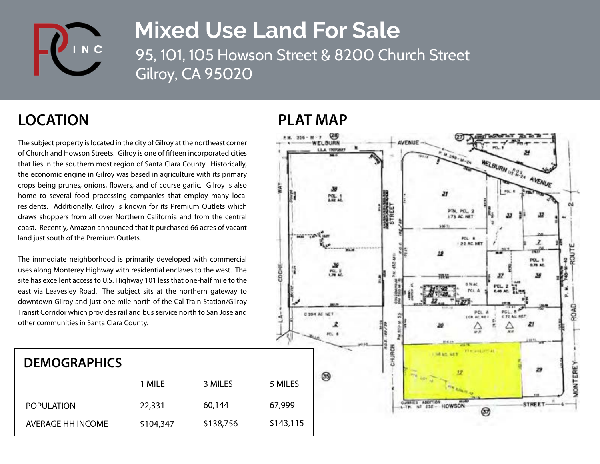

95, 101, 105 Howson Street & 8200 Church Street Gilroy, CA 95020

### **LOCATION PLAT MAP**

The subject property is located in the city of Gilroy at the northeast corner of Church and Howson Streets. Gilroy is one of fifteen incorporated cities that lies in the southern most region of Santa Clara County. Historically, the economic engine in Gilroy was based in agriculture with its primary crops being prunes, onions, flowers, and of course garlic. Gilroy is also home to several food processing companies that employ many local residents. Additionally, Gilroy is known for its Premium Outlets which draws shoppers from all over Northern California and from the central coast. Recently, Amazon announced that it purchased 66 acres of vacant land just south of the Premium Outlets.

The immediate neighborhood is primarily developed with commercial uses along Monterey Highway with residential enclaves to the west. The site has excellent access to U.S. Highway 101 less that one-half mile to the east via Leavesley Road. The subject sits at the northern gateway to downtown Gilroy and just one mile north of the Cal Train Station/Gilroy Transit Corridor which provides rail and bus service north to San Jose and other communities in Santa Clara County.

### **DEMOGRAPHICS**

|                   | 1 MILE    | 3 MILES   | 5 MILES   |
|-------------------|-----------|-----------|-----------|
| <b>POPULATION</b> | 22,331    | 60,144    | 67,999    |
| AVERAGE HH INCOME | \$104,347 | \$138,756 | \$143,115 |